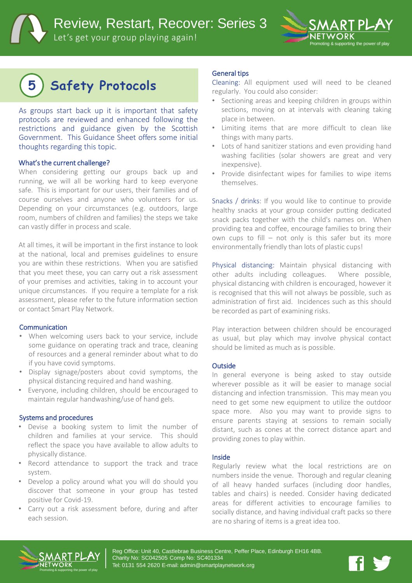Review, Restart, Recover: Series 3

Let's get your group playing again!



# **5 Safety Protocols**

As groups start back up it is important that safety protocols are reviewed and enhanced following the restrictions and guidance given by the Scottish Government. This Guidance Sheet offers some initial thoughts regarding this topic.

### What's the current challenge?

When considering getting our groups back up and running, we will all be working hard to keep everyone safe. This is important for our users, their families and of course ourselves and anyone who volunteers for us. Depending on your circumstances (e.g. outdoors, large room, numbers of children and families) the steps we take can vastly differ in process and scale.

At all times, it will be important in the first instance to look at the national, local and premises guidelines to ensure you are within these restrictions. When you are satisfied that you meet these, you can carry out a risk assessment of your premises and activities, taking in to account your unique circumstances. If you require a template for a risk assessment, please refer to the future information section or contact Smart Play Network.

### **Communication**

- When welcoming users back to your service, include some guidance on operating track and trace, cleaning of resources and a general reminder about what to do if you have covid symptoms.
- Display signage/posters about covid symptoms, the physical distancing required and hand washing.
- Everyone, including children, should be encouraged to maintain regular handwashing/use of hand gels.

### Systems and procedures

- Devise a booking system to limit the number of children and families at your service. This should reflect the space you have available to allow adults to physically distance.
- Record attendance to support the track and trace system.
- Develop a policy around what you will do should you discover that someone in your group has tested positive for Covid-19.
- Carry out a risk assessment before, during and after each session.

### General tips

Cleaning: All equipment used will need to be cleaned regularly. You could also consider:

- Sectioning areas and keeping children in groups within sections, moving on at intervals with cleaning taking place in between.
- Limiting items that are more difficult to clean like things with many parts.
- Lots of hand sanitizer stations and even providing hand washing facilities (solar showers are great and very inexpensive).
- Provide disinfectant wipes for families to wipe items themselves.

Snacks / drinks: If you would like to continue to provide healthy snacks at your group consider putting dedicated snack packs together with the child's names on. When providing tea and coffee, encourage families to bring their own cups to fill – not only is this safer but its more environmentally friendly than lots of plastic cups!

Physical distancing: Maintain physical distancing with other adults including colleagues. Where possible, physical distancing with children is encouraged, however it is recognised that this will not always be possible, such as administration of first aid. Incidences such as this should be recorded as part of examining risks.

Play interaction between children should be encouraged as usual, but play which may involve physical contact should be limited as much as is possible.

### **Outside**

In general everyone is being asked to stay outside wherever possible as it will be easier to manage social distancing and infection transmission. This may mean you need to get some new equipment to utilize the outdoor space more. Also you may want to provide signs to ensure parents staying at sessions to remain socially distant, such as cones at the correct distance apart and providing zones to play within.

### Inside

Regularly review what the local restrictions are on numbers inside the venue. Thorough and regular cleaning of all heavy handed surfaces (including door handles, tables and chairs) is needed. Consider having dedicated areas for different activities to encourage families to socially distance, and having individual craft packs so there are no sharing of items is a great idea too.



Reg Office: Unit 40, Castlebrae Business Centre, Peffer Place, Edinburgh EH16 4BB. Charity No: SC042505 Comp No: SC401334 Tel: 0131 554 2620 E-mail: admin@smartplaynetwork.org